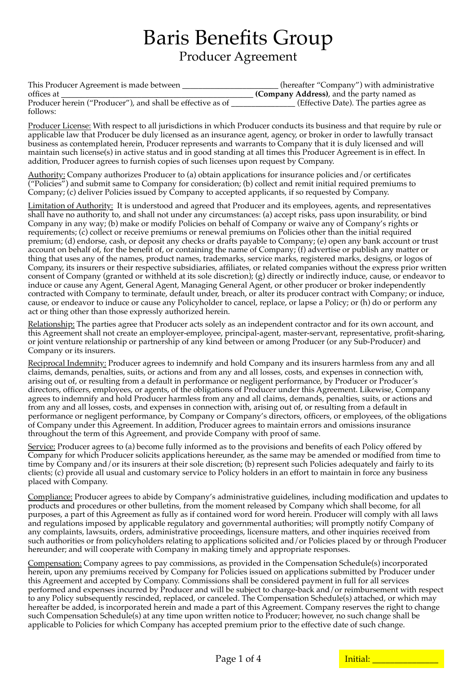## Producer Agreement Baris Benefits Group

| This Producer Agreement is made between                    | (hereafter "Company") with administrative |
|------------------------------------------------------------|-------------------------------------------|
| offices at                                                 | (Company Address), and the party named as |
| Producer herein ("Producer"), and shall be effective as of | (Effective Date). The parties agree as    |
| follows:                                                   |                                           |

Producer License: With respect to all jurisdictions in which Producer conducts its business and that require by rule or applicable law that Producer be duly licensed as an insurance agent, agency, or broker in order to lawfully transact business as contemplated herein, Producer represents and warrants to Company that it is duly licensed and will maintain such license(s) in active status and in good standing at all times this Producer Agreement is in effect. In addition, Producer agrees to furnish copies of such licenses upon request by Company.

Authority: Company authorizes Producer to (a) obtain applications for insurance policies and/or certificates ("Policies") and submit same to Company for consideration; (b) collect and remit initial required premiums to Company; (c) deliver Policies issued by Company to accepted applicants, if so requested by Company.

Limitation of Authority: It is understood and agreed that Producer and its employees, agents, and representatives shall have no authority to, and shall not under any circumstances: (a) accept risks, pass upon insurability, or bind Company in any way; (b) make or modify Policies on behalf of Company or waive any of Company's rights or requirements; (c) collect or receive premiums or renewal premiums on Policies other than the initial required premium; (d) endorse, cash, or deposit any checks or drafts payable to Company; (e) open any bank account or trust account on behalf of, for the benefit of, or containing the name of Company; (f) advertise or publish any matter or thing that uses any of the names, product names, trademarks, service marks, registered marks, designs, or logos of Company, its insurers or their respective subsidiaries, affiliates, or related companies without the express prior written consent of Company (granted or withheld at its sole discretion); (g) directly or indirectly induce, cause, or endeavor to induce or cause any Agent, General Agent, Managing General Agent, or other producer or broker independently contracted with Company to terminate, default under, breach, or alter its producer contract with Company; or induce, cause, or endeavor to induce or cause any Policyholder to cancel, replace, or lapse a Policy; or (h) do or perform any act or thing other than those expressly authorized herein.

Relationship: The parties agree that Producer acts solely as an independent contractor and for its own account, and this Agreement shall not create an employer-employee, principal-agent, master-servant, representative, profit-sharing, or joint venture relationship or partnership of any kind between or among Producer (or any Sub-Producer) and Company or its insurers.

Reciprocal Indemnity: Producer agrees to indemnify and hold Company and its insurers harmless from any and all claims, demands, penalties, suits, or actions and from any and all losses, costs, and expenses in connection with, arising out of, or resulting from a default in performance or negligent performance, by Producer or Producer's directors, officers, employees, or agents, of the obligations of Producer under this Agreement. Likewise, Company agrees to indemnify and hold Producer harmless from any and all claims, demands, penalties, suits, or actions and from any and all losses, costs, and expenses in connection with, arising out of, or resulting from a default in performance or negligent performance, by Company or Company's directors, officers, or employees, of the obligations of Company under this Agreement. In addition, Producer agrees to maintain errors and omissions insurance throughout the term of this Agreement, and provide Company with proof of same.

Service: Producer agrees to (a) become fully informed as to the provisions and benefits of each Policy offered by Company for which Producer solicits applications hereunder, as the same may be amended or modified from time to time by Company and/or its insurers at their sole discretion; (b) represent such Policies adequately and fairly to its clients; (c) provide all usual and customary service to Policy holders in an effort to maintain in force any business placed with Company.

Compliance: Producer agrees to abide by Company's administrative guidelines, including modification and updates to products and procedures or other bulletins, from the moment released by Company which shall become, for all purposes, a part of this Agreement as fully as if contained word for word herein. Producer will comply with all laws and regulations imposed by applicable regulatory and governmental authorities; will promptly notify Company of any complaints, lawsuits, orders, administrative proceedings, licensure matters, and other inquiries received from such authorities or from policyholders relating to applications solicited and/or Policies placed by or through Producer hereunder; and will cooperate with Company in making timely and appropriate responses.

Compensation: Company agrees to pay commissions, as provided in the Compensation Schedule(s) incorporated herein, upon any premiums received by Company for Policies issued on applications submitted by Producer under this Agreement and accepted by Company. Commissions shall be considered payment in full for all services performed and expenses incurred by Producer and will be subject to charge-back and/or reimbursement with respect to any Policy subsequently rescinded, replaced, or canceled. The Compensation Schedule(s) attached, or which may hereafter be added, is incorporated herein and made a part of this Agreement. Company reserves the right to change such Compensation Schedule(s) at any time upon written notice to Producer; however, no such change shall be applicable to Policies for which Company has accepted premium prior to the effective date of such change.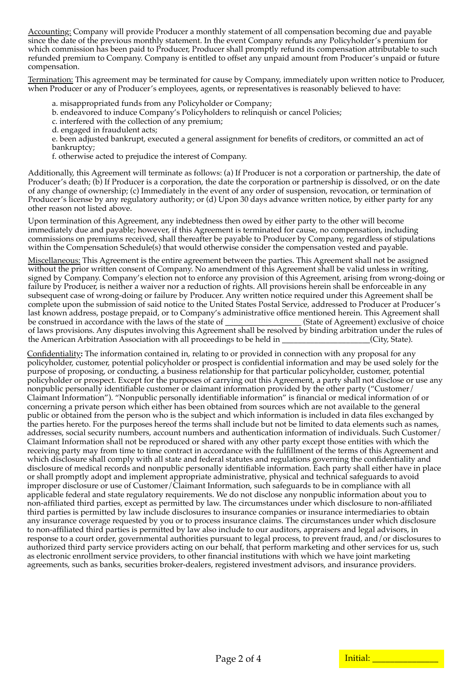Accounting: Company will provide Producer a monthly statement of all compensation becoming due and payable since the date of the previous monthly statement. In the event Company refunds any Policyholder's premium for which commission has been paid to Producer, Producer shall promptly refund its compensation attributable to such refunded premium to Company. Company is entitled to offset any unpaid amount from Producer's unpaid or future compensation.

Termination: This agreement may be terminated for cause by Company, immediately upon written notice to Producer, when Producer or any of Producer's employees, agents, or representatives is reasonably believed to have:

a. misappropriated funds from any Policyholder or Company;

b. endeavored to induce Company's Policyholders to relinquish or cancel Policies;

c. interfered with the collection of any premium;

d. engaged in fraudulent acts;

e. been adjusted bankrupt, executed a general assignment for benefits of creditors, or committed an act of bankruptcy;

f. otherwise acted to prejudice the interest of Company.

Additionally, this Agreement will terminate as follows: (a) If Producer is not a corporation or partnership, the date of Producer's death; (b) If Producer is a corporation, the date the corporation or partnership is dissolved, or on the date of any change of ownership; (c) Immediately in the event of any order of suspension, revocation, or termination of Producer's license by any regulatory authority; or (d) Upon 30 days advance written notice, by either party for any other reason not listed above.

Upon termination of this Agreement, any indebtedness then owed by either party to the other will become immediately due and payable; however, if this Agreement is terminated for cause, no compensation, including commissions on premiums received, shall thereafter be payable to Producer by Company, regardless of stipulations within the Compensation Schedule(s) that would otherwise consider the compensation vested and payable.

Miscellaneous: This Agreement is the entire agreement between the parties. This Agreement shall not be assigned without the prior written consent of Company. No amendment of this Agreement shall be valid unless in writing, signed by Company. Company's election not to enforce any provision of this Agreement, arising from wrong-doing or failure by Producer, is neither a waiver nor a reduction of rights. All provisions herein shall be enforceable in any subsequent case of wrong-doing or failure by Producer. Any written notice required under this Agreement shall be complete upon the submission of said notice to the United States Postal Service, addressed to Producer at Producer's last known address, postage prepaid, or to Company's administrative office mentioned herein. This Agreement shall be construed in accordance with the laws of the state of \_\_\_\_\_\_\_\_\_\_\_\_\_\_\_\_\_\_\_ (State of Agreement) exclusive of choice of laws provisions. Any disputes involving this Agreement shall be resolved by binding arbitration under the rules of the American Arbitration Association with all proceedings to be held in \_\_\_\_\_\_\_\_\_\_\_\_\_\_\_\_\_(City, State).

Confidentiality**:** The information contained in, relating to or provided in connection with any proposal for any policyholder, customer, potential policyholder or prospect is confidential information and may be used solely for the purpose of proposing, or conducting, a business relationship for that particular policyholder, customer, potential policyholder or prospect. Except for the purposes of carrying out this Agreement, a party shall not disclose or use any nonpublic personally identifiable customer or claimant information provided by the other party ("Customer/ Claimant Information"). "Nonpublic personally identifiable information" is financial or medical information of or concerning a private person which either has been obtained from sources which are not available to the general public or obtained from the person who is the subject and which information is included in data files exchanged by the parties hereto. For the purposes hereof the terms shall include but not be limited to data elements such as names, addresses, social security numbers, account numbers and authentication information of individuals. Such Customer/ Claimant Information shall not be reproduced or shared with any other party except those entities with which the receiving party may from time to time contract in accordance with the fulfillment of the terms of this Agreement and which disclosure shall comply with all state and federal statutes and regulations governing the confidentiality and disclosure of medical records and nonpublic personally identifiable information. Each party shall either have in place or shall promptly adopt and implement appropriate administrative, physical and technical safeguards to avoid improper disclosure or use of Customer/Claimant Information, such safeguards to be in compliance with all applicable federal and state regulatory requirements. We do not disclose any nonpublic information about you to non-affiliated third parties, except as permitted by law. The circumstances under which disclosure to non-affiliated third parties is permitted by law include disclosures to insurance companies or insurance intermediaries to obtain any insurance coverage requested by you or to process insurance claims. The circumstances under which disclosure to non-affiliated third parties is permitted by law also include to our auditors, appraisers and legal advisors, in response to a court order, governmental authorities pursuant to legal process, to prevent fraud, and/or disclosures to authorized third party service providers acting on our behalf, that perform marketing and other services for us, such as electronic enrollment service providers, to other financial institutions with which we have joint marketing agreements, such as banks, securities broker-dealers, registered investment advisors, and insurance providers.

Initial: \_\_\_\_\_\_\_\_\_\_\_\_\_\_\_